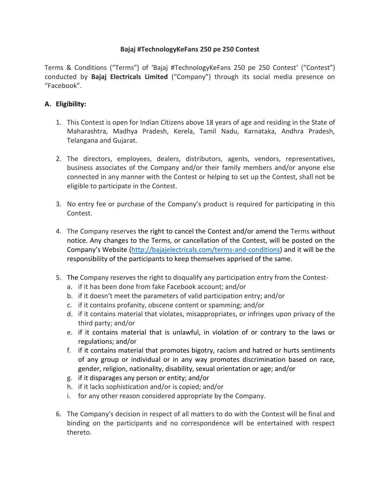## **Bajaj #TechnologyKeFans 250 pe 250 Contest**

Terms & Conditions ("Terms") of 'Bajaj #TechnologyKeFans 250 pe 250 Contest' ("Contest") conducted by **Bajaj Electricals Limited** ("Company") through its social media presence on "Facebook".

## **A. Eligibility:**

- 1. This Contest is open for Indian Citizens above 18 years of age and residing in the State of Maharashtra, Madhya Pradesh, Kerela, Tamil Nadu, Karnataka, Andhra Pradesh, Telangana and Gujarat.
- 2. The directors, employees, dealers, distributors, agents, vendors, representatives, business associates of the Company and/or their family members and/or anyone else connected in any manner with the Contest or helping to set up the Contest, shall not be eligible to participate in the Contest.
- 3. No entry fee or purchase of the Company's product is required for participating in this Contest.
- 4. The Company reserves the right to cancel the Contest and/or amend the Terms without notice. Any changes to the Terms, or cancellation of the Contest, will be posted on the Company's Website [\(http://bajajelectricals.com/terms-and-conditions\)](http://bajajelectricals.com/terms-and-conditions) and it will be the responsibility of the participants to keep themselves apprised of the same.
- 5. The Company reserves the right to disqualify any participation entry from the Contest
	- a. if it has been done from fake Facebook account; and/or
	- b. if it doesn't meet the parameters of valid participation entry; and/or
	- c. if it contains profanity, obscene content or spamming; and/or
	- d. if it contains material that violates, misappropriates, or infringes upon privacy of the third party; and/or
	- e. if it contains material that is unlawful, in violation of or contrary to the laws or regulations; and/or
	- f. if it contains material that promotes bigotry, racism and hatred or hurts sentiments of any group or individual or in any way promotes discrimination based on race, gender, religion, nationality, disability, sexual orientation or age; and/or
	- g. if it disparages any person or entity; and/or
	- h. if it lacks sophistication and/or is copied; and/or
	- i. for any other reason considered appropriate by the Company.
- 6. The Company's decision in respect of all matters to do with the Contest will be final and binding on the participants and no correspondence will be entertained with respect thereto.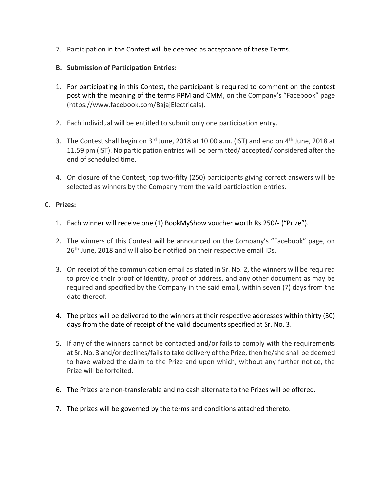- 7. Participation in the Contest will be deemed as acceptance of these Terms.
- **B. Submission of Participation Entries:**
- 1. For participating in this Contest, the participant is required to comment on the contest post with the meaning of the terms RPM and CMM, on the Company's "Facebook" page [\(https://www.facebook.com/BajajElectricals\)](https://www.facebook.com/BajajElectricals).
- 2. Each individual will be entitled to submit only one participation entry.
- 3. The Contest shall begin on 3<sup>rd</sup> June, 2018 at 10.00 a.m. (IST) and end on 4<sup>th</sup> June, 2018 at 11.59 pm (IST). No participation entries will be permitted/ accepted/ considered after the end of scheduled time.
- 4. On closure of the Contest, top two-fifty (250) participants giving correct answers will be selected as winners by the Company from the valid participation entries.

# **C. Prizes:**

- 1. Each winner will receive one (1) BookMyShow voucher worth Rs.250/- ("Prize").
- 2. The winners of this Contest will be announced on the Company's "Facebook" page, on 26<sup>th</sup> June, 2018 and will also be notified on their respective email IDs.
- 3. On receipt of the communication email as stated in Sr. No. 2, the winners will be required to provide their proof of identity, proof of address, and any other document as may be required and specified by the Company in the said email, within seven (7) days from the date thereof.
- 4. The prizes will be delivered to the winners at their respective addresses within thirty (30) days from the date of receipt of the valid documents specified at Sr. No. 3.
- 5. If any of the winners cannot be contacted and/or fails to comply with the requirements at Sr. No. 3 and/or declines/fails to take delivery of the Prize, then he/she shall be deemed to have waived the claim to the Prize and upon which, without any further notice, the Prize will be forfeited.
- 6. The Prizes are non-transferable and no cash alternate to the Prizes will be offered.
- 7. The prizes will be governed by the terms and conditions attached thereto.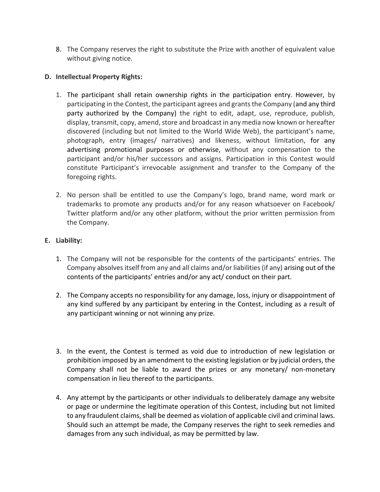8. The Company reserves the right to substitute the Prize with another of equivalent value without giving notice.

## **D. Intellectual Property Rights:**

- 1. The participant shall retain ownership rights in the participation entry. However, by participating in the Contest, the participant agrees and grants the Company (and any third party authorized by the Company) the right to edit, adapt, use, reproduce, publish, display, transmit, copy, amend, store and broadcast in any media now known or hereafter discovered (including but not limited to the World Wide Web), the participant's name, photograph, entry (images/ narratives) and likeness, without limitation, for any advertising promotional purposes or otherwise, without any compensation to the participant and/or his/her successors and assigns. Participation in this Contest would constitute Participant's irrevocable assignment and transfer to the Company of the foregoing rights.
- 2. No person shall be entitled to use the Company's logo, brand name, word mark or trademarks to promote any products and/or for any reason whatsoever on Facebook/ Twitter platform and/or any other platform, without the prior written permission from the Company.

### **E. Liability:**

- 1. The Company will not be responsible for the contents of the participants' entries. The Company absolves itself from any and all claims and/or liabilities (if any) arising out of the contents of the participants' entries and/or any act/ conduct on their part.
- 2. The Company accepts no responsibility for any damage, loss, injury or disappointment of any kind suffered by any participant by entering in the Contest, including as a result of any participant winning or not winning any prize.
- 3. In the event, the Contest is termed as void due to introduction of new legislation or prohibition imposed by an amendment to the existing legislation or by judicial orders, the Company shall not be liable to award the prizes or any monetary/ non-monetary compensation in lieu thereof to the participants.
- 4. Any attempt by the participants or other individuals to deliberately damage any website or page or undermine the legitimate operation of this Contest, including but not limited to any fraudulent claims, shall be deemed as violation of applicable civil and criminal laws. Should such an attempt be made, the Company reserves the right to seek remedies and damages from any such individual, as may be permitted by law.